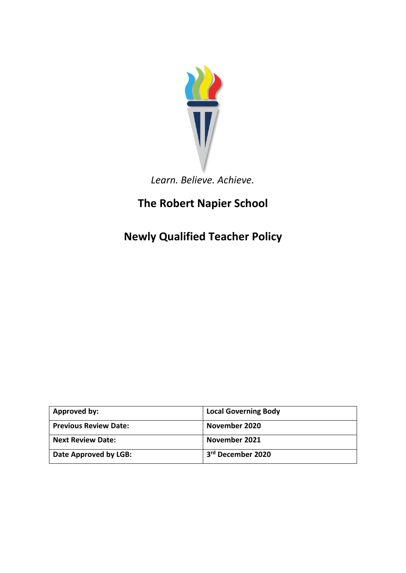

## *Learn. Believe. Achieve.*

# **The Robert Napier School**

**Newly Qualified Teacher Policy**

| Approved by:                 | <b>Local Governing Body</b>   |
|------------------------------|-------------------------------|
| <b>Previous Review Date:</b> | November 2020                 |
| <b>Next Review Date:</b>     | November 2021                 |
| Date Approved by LGB:        | 3 <sup>rd</sup> December 2020 |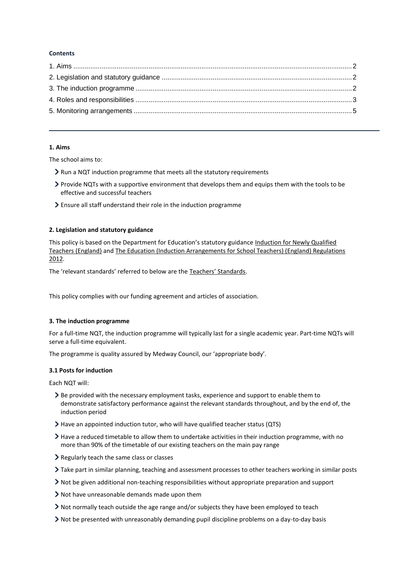## **Contents**

## <span id="page-1-0"></span>**1. Aims**

The school aims to:

- Run a NQT induction programme that meets all the statutory requirements
- Provide NQTs with a supportive environment that develops them and equips them with the tools to be effective and successful teachers
- Ensure all staff understand their role in the induction programme

## <span id="page-1-1"></span>**2. Legislation and statutory guidance**

This policy is based on the Department for Education's statutory guidance [Induction for Newly Qualified](https://www.gov.uk/government/publications/induction-for-newly-qualified-teachers-nqts)  [Teachers \(England\)](https://www.gov.uk/government/publications/induction-for-newly-qualified-teachers-nqts) and [The Education \(Induction Arrangements for School Teachers\) \(England\) Regulations](http://www.legislation.gov.uk/uksi/2012/1115/contents/made)  [2012.](http://www.legislation.gov.uk/uksi/2012/1115/contents/made)

The 'relevant standards' referred to below are the [Teachers' Standards](https://www.gov.uk/government/publications/teachers-standards).

This policy complies with our funding agreement and articles of association.

## <span id="page-1-2"></span>**3. The induction programme**

For a full-time NQT, the induction programme will typically last for a single academic year. Part-time NQTs will serve a full-time equivalent.

The programme is quality assured by Medway Council, our 'appropriate body'.

## **3.1 Posts for induction**

Each NQT will:

- Be provided with the necessary employment tasks, experience and support to enable them to demonstrate satisfactory performance against the relevant standards throughout, and by the end of, the induction period
- Have an appointed induction tutor, who will have qualified teacher status (QTS)
- $\geq$  Have a reduced timetable to allow them to undertake activities in their induction programme, with no more than 90% of the timetable of our existing teachers on the main pay range
- Regularly teach the same class or classes
- Take part in similar planning, teaching and assessment processes to other teachers working in similar posts
- Not be given additional non-teaching responsibilities without appropriate preparation and support
- Not have unreasonable demands made upon them
- Not normally teach outside the age range and/or subjects they have been employed to teach
- $\geq$  Not be presented with unreasonably demanding pupil discipline problems on a day-to-day basis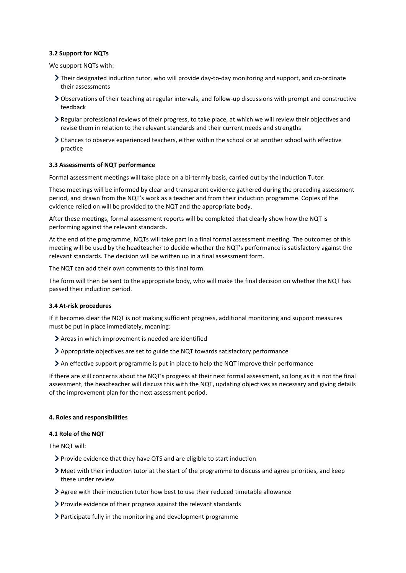## **3.2 Support for NQTs**

We support NQTs with:

- Their designated induction tutor, who will provide day-to-day monitoring and support, and co-ordinate their assessments
- Observations of their teaching at regular intervals, and follow-up discussions with prompt and constructive feedback
- Regular professional reviews of their progress, to take place, at which we will review their objectives and revise them in relation to the relevant standards and their current needs and strengths
- Chances to observe experienced teachers, either within the school or at another school with effective practice

#### **3.3 Assessments of NQT performance**

Formal assessment meetings will take place on a bi-termly basis, carried out by the Induction Tutor.

These meetings will be informed by clear and transparent evidence gathered during the preceding assessment period, and drawn from the NQT's work as a teacher and from their induction programme. Copies of the evidence relied on will be provided to the NQT and the appropriate body.

After these meetings, formal assessment reports will be completed that clearly show how the NQT is performing against the relevant standards.

At the end of the programme, NQTs will take part in a final formal assessment meeting. The outcomes of this meeting will be used by the headteacher to decide whether the NQT's performance is satisfactory against the relevant standards. The decision will be written up in a final assessment form.

The NQT can add their own comments to this final form.

The form will then be sent to the appropriate body, who will make the final decision on whether the NQT has passed their induction period.

#### **3.4 At-risk procedures**

If it becomes clear the NQT is not making sufficient progress, additional monitoring and support measures must be put in place immediately, meaning:

- Areas in which improvement is needed are identified
- Appropriate objectives are set to guide the NQT towards satisfactory performance
- An effective support programme is put in place to help the NQT improve their performance

If there are still concerns about the NQT's progress at their next formal assessment, so long as it is not the final assessment, the headteacher will discuss this with the NQT, updating objectives as necessary and giving details of the improvement plan for the next assessment period.

#### <span id="page-2-0"></span>**4. Roles and responsibilities**

#### **4.1 Role of the NQT**

The NQT will:

- Provide evidence that they have QTS and are eligible to start induction
- Meet with their induction tutor at the start of the programme to discuss and agree priorities, and keep these under review
- Agree with their induction tutor how best to use their reduced timetable allowance
- $\triangleright$  Provide evidence of their progress against the relevant standards
- Participate fully in the monitoring and development programme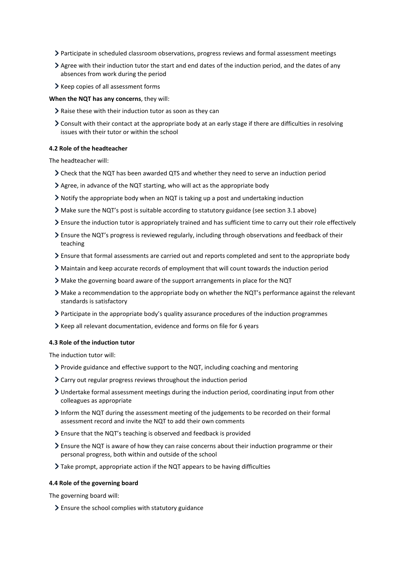- Participate in scheduled classroom observations, progress reviews and formal assessment meetings
- $\geq$  Agree with their induction tutor the start and end dates of the induction period, and the dates of any absences from work during the period
- > Keep copies of all assessment forms

#### **When the NQT has any concerns**, they will:

- $\geq$  Raise these with their induction tutor as soon as they can
- Consult with their contact at the appropriate body at an early stage if there are difficulties in resolving issues with their tutor or within the school

## **4.2 Role of the headteacher**

The headteacher will:

- Check that the NQT has been awarded QTS and whether they need to serve an induction period
- Agree, in advance of the NQT starting, who will act as the appropriate body
- $\geq$  Notify the appropriate body when an NQT is taking up a post and undertaking induction
- Make sure the NQT's post is suitable according to statutory guidance (see section 3.1 above)
- Ensure the induction tutor is appropriately trained and has sufficient time to carry out their role effectively
- Ensure the NQT's progress is reviewed regularly, including through observations and feedback of their teaching
- Ensure that formal assessments are carried out and reports completed and sent to the appropriate body
- Maintain and keep accurate records of employment that will count towards the induction period
- Make the governing board aware of the support arrangements in place for the NQT
- Make a recommendation to the appropriate body on whether the NQT's performance against the relevant standards is satisfactory
- Participate in the appropriate body's quality assurance procedures of the induction programmes
- Keep all relevant documentation, evidence and forms on file for 6 years

#### **4.3 Role of the induction tutor**

The induction tutor will:

- Provide guidance and effective support to the NQT, including coaching and mentoring
- Carry out regular progress reviews throughout the induction period
- Undertake formal assessment meetings during the induction period, coordinating input from other colleagues as appropriate
- Inform the NQT during the assessment meeting of the judgements to be recorded on their formal assessment record and invite the NQT to add their own comments
- Ensure that the NQT's teaching is observed and feedback is provided
- Ensure the NQT is aware of how they can raise concerns about their induction programme or their personal progress, both within and outside of the school
- Take prompt, appropriate action if the NQT appears to be having difficulties

#### **4.4 Role of the governing board**

The governing board will:

Ensure the school complies with statutory guidance